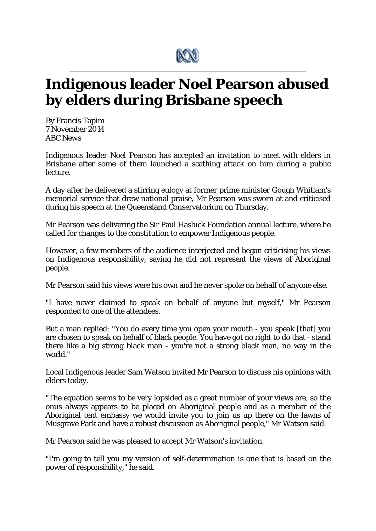

## **Indigenous leader Noel Pearson abused by elders during Brisbane speech**

By Francis Tapim 7 November 2014 *ABC News*

Indigenous leader Noel Pearson has accepted an invitation to meet with elders in Brisbane after some of them launched a scathing attack on him during a public lecture.

A day after he delivered a stirring eulogy at former prime minister Gough Whitlam's memorial service that drew national praise, Mr Pearson was sworn at and criticised during his speech at the Queensland Conservatorium on Thursday.

Mr Pearson was delivering the Sir Paul Hasluck Foundation annual lecture, where he called for changes to the constitution to empower Indigenous people.

However, a few members of the audience interjected and began criticising his views on Indigenous responsibility, saying he did not represent the views of Aboriginal people.

Mr Pearson said his views were his own and he never spoke on behalf of anyone else.

"I have never claimed to speak on behalf of anyone but myself," Mr Pearson responded to one of the attendees.

But a man replied: "You do every time you open your mouth - you speak [that] you are chosen to speak on behalf of black people. You have got no right to do that - stand there like a big strong black man - you're not a strong black man, no way in the world."

Local Indigenous leader Sam Watson invited Mr Pearson to discuss his opinions with elders today.

"The equation seems to be very lopsided as a great number of your views are, so the onus always appears to be placed on Aboriginal people and as a member of the Aboriginal tent embassy we would invite you to join us up there on the lawns of Musgrave Park and have a robust discussion as Aboriginal people," Mr Watson said.

Mr Pearson said he was pleased to accept Mr Watson's invitation.

"I'm going to tell you my version of self-determination is one that is based on the power of responsibility," he said.